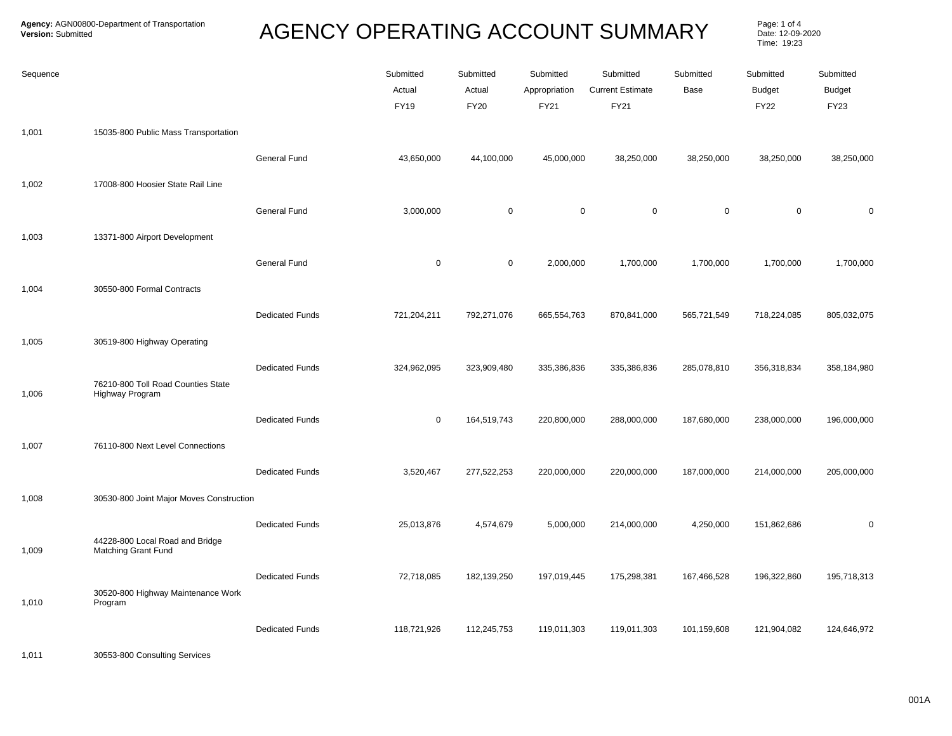## **AGENCY OPERATING ACCOUNT SUMMARY**

Page: 1 of 4<br>Date: 12-09-2020 Time: 19:23

| Sequence |                                                               |                        | Submitted<br>Actual<br><b>FY19</b> | Submitted<br>Actual<br><b>FY20</b> | Submitted<br>Appropriation<br><b>FY21</b> | Submitted<br><b>Current Estimate</b><br><b>FY21</b> | Submitted<br>Base | Submitted<br><b>Budget</b><br><b>FY22</b> | Submitted<br><b>Budget</b><br>FY23 |
|----------|---------------------------------------------------------------|------------------------|------------------------------------|------------------------------------|-------------------------------------------|-----------------------------------------------------|-------------------|-------------------------------------------|------------------------------------|
| 1,001    | 15035-800 Public Mass Transportation                          |                        |                                    |                                    |                                           |                                                     |                   |                                           |                                    |
|          |                                                               | General Fund           | 43,650,000                         | 44,100,000                         | 45,000,000                                | 38,250,000                                          | 38,250,000        | 38,250,000                                | 38,250,000                         |
| 1,002    | 17008-800 Hoosier State Rail Line                             |                        |                                    |                                    |                                           |                                                     |                   |                                           |                                    |
|          |                                                               | General Fund           | 3,000,000                          | $\mathbf 0$                        | 0                                         | $\mathbf 0$                                         | $\mathbf 0$       | $\mathbf 0$                               | $\mathbf 0$                        |
| 1,003    | 13371-800 Airport Development                                 |                        |                                    |                                    |                                           |                                                     |                   |                                           |                                    |
|          |                                                               | General Fund           | $\mathbf 0$                        | $\mathbf 0$                        | 2,000,000                                 | 1,700,000                                           | 1,700,000         | 1,700,000                                 | 1,700,000                          |
| 1,004    | 30550-800 Formal Contracts                                    |                        |                                    |                                    |                                           |                                                     |                   |                                           |                                    |
|          |                                                               | <b>Dedicated Funds</b> | 721,204,211                        | 792,271,076                        | 665,554,763                               | 870,841,000                                         | 565,721,549       | 718,224,085                               | 805,032,075                        |
| 1,005    | 30519-800 Highway Operating                                   |                        |                                    |                                    |                                           |                                                     |                   |                                           |                                    |
|          | 76210-800 Toll Road Counties State                            | <b>Dedicated Funds</b> | 324,962,095                        | 323,909,480                        | 335,386,836                               | 335,386,836                                         | 285,078,810       | 356,318,834                               | 358,184,980                        |
| 1,006    | Highway Program                                               | <b>Dedicated Funds</b> | $\mathbf 0$                        | 164,519,743                        | 220,800,000                               | 288,000,000                                         | 187,680,000       | 238,000,000                               | 196,000,000                        |
| 1,007    | 76110-800 Next Level Connections                              |                        |                                    |                                    |                                           |                                                     |                   |                                           |                                    |
|          |                                                               | <b>Dedicated Funds</b> | 3,520,467                          | 277,522,253                        | 220,000,000                               | 220,000,000                                         | 187,000,000       | 214,000,000                               | 205,000,000                        |
| 1,008    | 30530-800 Joint Major Moves Construction                      |                        |                                    |                                    |                                           |                                                     |                   |                                           |                                    |
|          |                                                               | <b>Dedicated Funds</b> | 25,013,876                         | 4,574,679                          | 5,000,000                                 | 214,000,000                                         | 4,250,000         | 151,862,686                               | $\mathbf 0$                        |
| 1,009    | 44228-800 Local Road and Bridge<br><b>Matching Grant Fund</b> |                        |                                    |                                    |                                           |                                                     |                   |                                           |                                    |
|          |                                                               | <b>Dedicated Funds</b> | 72,718,085                         | 182,139,250                        | 197,019,445                               | 175,298,381                                         | 167,466,528       | 196,322,860                               | 195,718,313                        |
| 1,010    | 30520-800 Highway Maintenance Work<br>Program                 |                        |                                    |                                    |                                           |                                                     |                   |                                           |                                    |
|          |                                                               | <b>Dedicated Funds</b> | 118,721,926                        | 112,245,753                        | 119,011,303                               | 119,011,303                                         | 101,159,608       | 121,904,082                               | 124,646,972                        |

1,011 30553-800 Consulting Services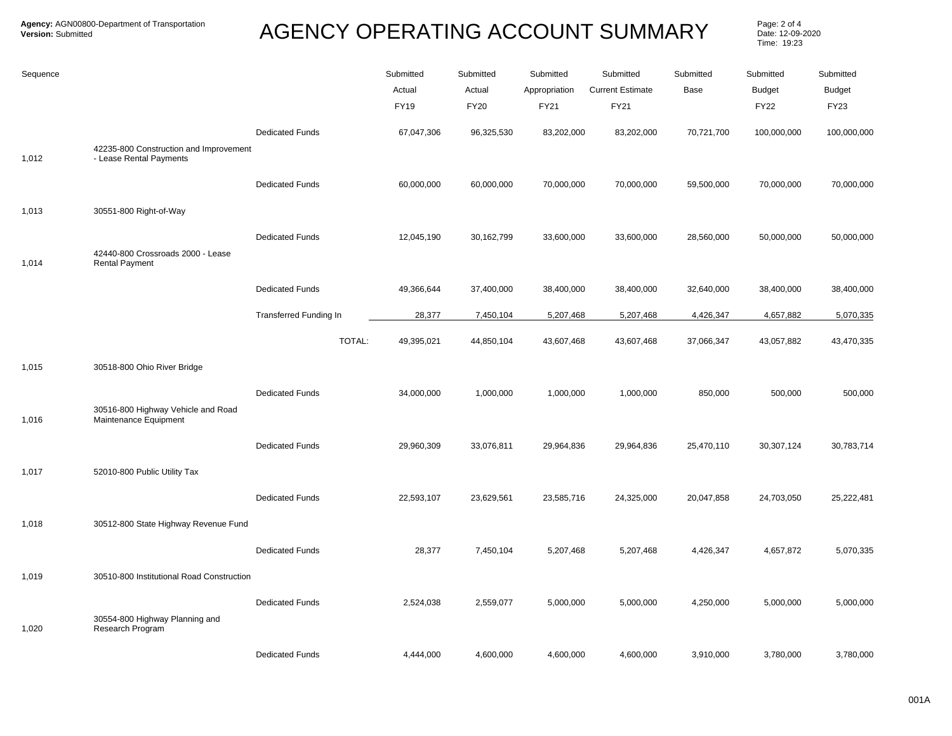## AGENCY OPERATING ACCOUNT SUMMARY Page: 2 of 4

Date: 12-09-2020 Time: 19:23

| Sequence       |                                                                                      |                                         | Submitted<br>Actual<br><b>FY19</b> | Submitted<br>Actual<br><b>FY20</b> | Submitted<br>Appropriation<br>FY21 | Submitted<br><b>Current Estimate</b><br>FY21 | Submitted<br>Base       | Submitted<br><b>Budget</b><br><b>FY22</b> | Submitted<br><b>Budget</b><br>FY23 |
|----------------|--------------------------------------------------------------------------------------|-----------------------------------------|------------------------------------|------------------------------------|------------------------------------|----------------------------------------------|-------------------------|-------------------------------------------|------------------------------------|
| 1,012          | 42235-800 Construction and Improvement<br>- Lease Rental Payments                    | <b>Dedicated Funds</b>                  | 67,047,306                         | 96,325,530                         | 83,202,000                         | 83,202,000                                   | 70,721,700              | 100,000,000                               | 100,000,000                        |
|                |                                                                                      | <b>Dedicated Funds</b>                  | 60,000,000                         | 60,000,000                         | 70,000,000                         | 70,000,000                                   | 59,500,000              | 70,000,000                                | 70,000,000                         |
| 1,013<br>1,014 | 30551-800 Right-of-Way<br>42440-800 Crossroads 2000 - Lease<br><b>Rental Payment</b> | <b>Dedicated Funds</b>                  | 12,045,190                         | 30,162,799                         | 33,600,000                         | 33,600,000                                   | 28,560,000              | 50,000,000                                | 50,000,000                         |
|                |                                                                                      | <b>Dedicated Funds</b>                  | 49,366,644                         | 37,400,000                         | 38,400,000                         | 38,400,000                                   | 32,640,000              | 38,400,000                                | 38,400,000                         |
|                |                                                                                      | <b>Transferred Funding In</b><br>TOTAL: | 28,377<br>49,395,021               | 7,450,104<br>44,850,104            | 5,207,468<br>43,607,468            | 5,207,468<br>43,607,468                      | 4,426,347<br>37,066,347 | 4,657,882<br>43,057,882                   | 5,070,335<br>43,470,335            |
| 1,015          | 30518-800 Ohio River Bridge                                                          |                                         |                                    |                                    |                                    |                                              |                         |                                           |                                    |
| 1,016          | 30516-800 Highway Vehicle and Road<br>Maintenance Equipment                          | <b>Dedicated Funds</b>                  | 34,000,000                         | 1,000,000                          | 1,000,000                          | 1,000,000                                    | 850,000                 | 500,000                                   | 500,000                            |
| 1,017          | 52010-800 Public Utility Tax                                                         | <b>Dedicated Funds</b>                  | 29,960,309                         | 33,076,811                         | 29,964,836                         | 29,964,836                                   | 25,470,110              | 30,307,124                                | 30,783,714                         |
|                |                                                                                      | <b>Dedicated Funds</b>                  | 22,593,107                         | 23,629,561                         | 23,585,716                         | 24,325,000                                   | 20,047,858              | 24,703,050                                | 25,222,481                         |
| 1,018          | 30512-800 State Highway Revenue Fund                                                 | <b>Dedicated Funds</b>                  | 28,377                             | 7,450,104                          | 5,207,468                          | 5,207,468                                    | 4,426,347               | 4,657,872                                 | 5,070,335                          |
| 1,019          | 30510-800 Institutional Road Construction                                            |                                         |                                    |                                    |                                    |                                              |                         |                                           |                                    |
| 1,020          | 30554-800 Highway Planning and<br>Research Program                                   | <b>Dedicated Funds</b>                  | 2,524,038                          | 2,559,077                          | 5,000,000                          | 5,000,000                                    | 4,250,000               | 5,000,000                                 | 5,000,000                          |
|                |                                                                                      | <b>Dedicated Funds</b>                  | 4,444,000                          | 4,600,000                          | 4,600,000                          | 4,600,000                                    | 3,910,000               | 3,780,000                                 | 3,780,000                          |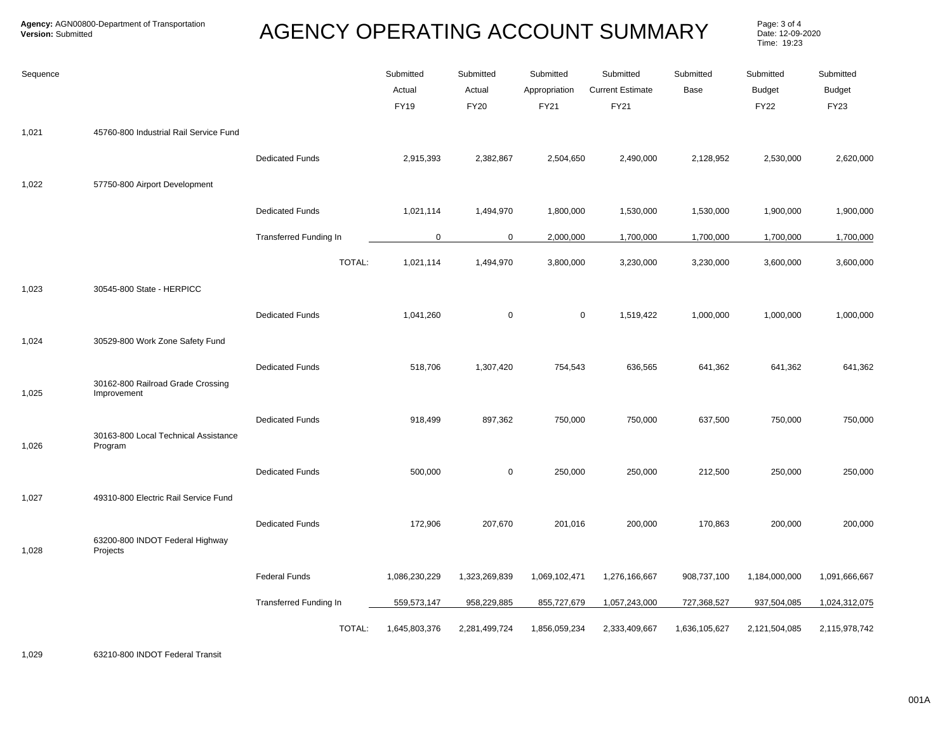## AGENCY OPERATING ACCOUNT SUMMARY Page: 3 of 4

Date: 12-09-2020 Time: 19:23

| Sequence |                                                  |                               | Submitted<br>Actual<br><b>FY19</b> | Submitted<br>Actual<br><b>FY20</b> | Submitted<br>Appropriation<br>FY21 | Submitted<br><b>Current Estimate</b><br><b>FY21</b> | Submitted<br>Base | Submitted<br><b>Budget</b><br><b>FY22</b> | Submitted<br><b>Budget</b><br><b>FY23</b> |
|----------|--------------------------------------------------|-------------------------------|------------------------------------|------------------------------------|------------------------------------|-----------------------------------------------------|-------------------|-------------------------------------------|-------------------------------------------|
| 1,021    | 45760-800 Industrial Rail Service Fund           |                               |                                    |                                    |                                    |                                                     |                   |                                           |                                           |
|          |                                                  | <b>Dedicated Funds</b>        | 2,915,393                          | 2,382,867                          | 2,504,650                          | 2,490,000                                           | 2,128,952         | 2,530,000                                 | 2,620,000                                 |
| 1,022    | 57750-800 Airport Development                    |                               |                                    |                                    |                                    |                                                     |                   |                                           |                                           |
|          |                                                  | <b>Dedicated Funds</b>        | 1,021,114                          | 1,494,970                          | 1,800,000                          | 1,530,000                                           | 1,530,000         | 1,900,000                                 | 1,900,000                                 |
|          |                                                  | <b>Transferred Funding In</b> | $\mathbf 0$                        | 0                                  | 2,000,000                          | 1,700,000                                           | 1,700,000         | 1,700,000                                 | 1,700,000                                 |
|          |                                                  | TOTAL:                        | 1,021,114                          | 1,494,970                          | 3,800,000                          | 3,230,000                                           | 3,230,000         | 3,600,000                                 | 3,600,000                                 |
| 1,023    | 30545-800 State - HERPICC                        |                               |                                    |                                    |                                    |                                                     |                   |                                           |                                           |
|          |                                                  | <b>Dedicated Funds</b>        | 1,041,260                          | $\mathbf 0$                        | $\mathbf 0$                        | 1,519,422                                           | 1,000,000         | 1,000,000                                 | 1,000,000                                 |
| 1,024    | 30529-800 Work Zone Safety Fund                  |                               |                                    |                                    |                                    |                                                     |                   |                                           |                                           |
|          |                                                  | <b>Dedicated Funds</b>        | 518,706                            | 1,307,420                          | 754,543                            | 636,565                                             | 641,362           | 641,362                                   | 641,362                                   |
| 1,025    | 30162-800 Railroad Grade Crossing<br>Improvement |                               |                                    |                                    |                                    |                                                     |                   |                                           |                                           |
|          |                                                  | <b>Dedicated Funds</b>        | 918,499                            | 897,362                            | 750,000                            | 750,000                                             | 637,500           | 750,000                                   | 750,000                                   |
| 1,026    | 30163-800 Local Technical Assistance<br>Program  |                               |                                    |                                    |                                    |                                                     |                   |                                           |                                           |
|          |                                                  | <b>Dedicated Funds</b>        | 500,000                            | 0                                  | 250,000                            | 250,000                                             | 212,500           | 250,000                                   | 250,000                                   |
| 1,027    | 49310-800 Electric Rail Service Fund             |                               |                                    |                                    |                                    |                                                     |                   |                                           |                                           |
|          |                                                  | <b>Dedicated Funds</b>        | 172,906                            | 207,670                            | 201,016                            | 200,000                                             | 170,863           | 200,000                                   | 200,000                                   |
| 1,028    | 63200-800 INDOT Federal Highway<br>Projects      |                               |                                    |                                    |                                    |                                                     |                   |                                           |                                           |
|          |                                                  | <b>Federal Funds</b>          | 1,086,230,229                      | 1,323,269,839                      | 1,069,102,471                      | 1,276,166,667                                       | 908,737,100       | 1,184,000,000                             | 1,091,666,667                             |
|          |                                                  | Transferred Funding In        | 559,573,147                        | 958,229,885                        | 855,727,679                        | 1,057,243,000                                       | 727,368,527       | 937,504,085                               | 1,024,312,075                             |
|          |                                                  | TOTAL:                        | 1,645,803,376                      | 2,281,499,724                      | 1,856,059,234                      | 2,333,409,667                                       | 1,636,105,627     | 2,121,504,085                             | 2,115,978,742                             |